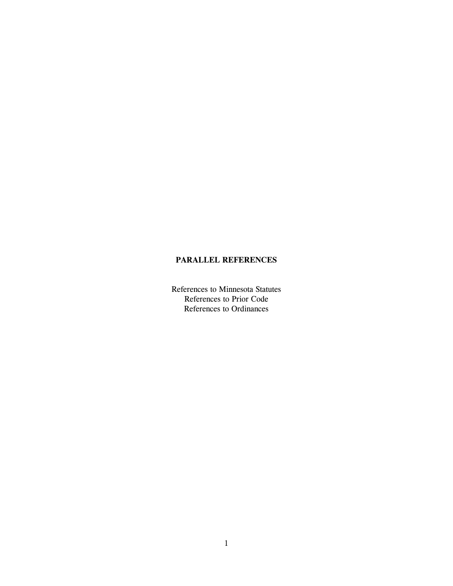### **PARALLEL REFERENCES**

References to Minnesota Statutes References to Prior Code References to Ordinances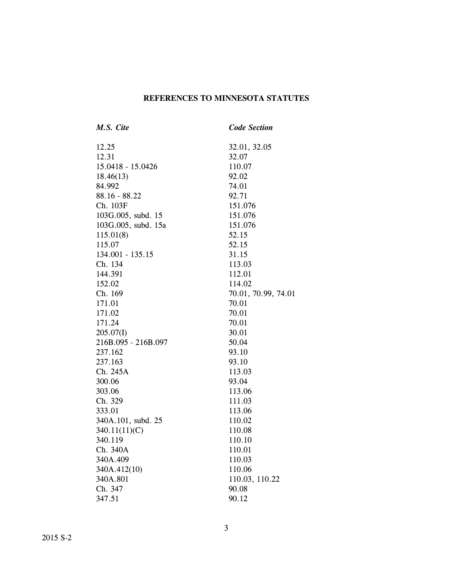# **REFERENCES TO MINNESOTA STATUTES**

| M.S. Cite           | <b>Code Section</b> |
|---------------------|---------------------|
| 12.25               | 32.01, 32.05        |
| 12.31               | 32.07               |
| 15.0418 - 15.0426   | 110.07              |
| 18.46(13)           | 92.02               |
| 84.992              | 74.01               |
| $88.16 - 88.22$     | 92.71               |
| Ch. 103F            | 151.076             |
| 103G.005, subd. 15  | 151.076             |
| 103G.005, subd. 15a | 151.076             |
| 115.01(8)           | 52.15               |
| 115.07              | 52.15               |
| 134.001 - 135.15    | 31.15               |
| Ch. 134             | 113.03              |
| 144.391             | 112.01              |
| 152.02              | 114.02              |
| Ch. 169             | 70.01, 70.99, 74.01 |
| 171.01              | 70.01               |
| 171.02              | 70.01               |
| 171.24              | 70.01               |
| 205.07(I)           | 30.01               |
| 216B.095 - 216B.097 | 50.04               |
| 237.162             | 93.10               |
| 237.163             | 93.10               |
| Ch. 245A            | 113.03              |
| 300.06              | 93.04               |
| 303.06              | 113.06              |
| Ch. 329             | 111.03              |
| 333.01              | 113.06              |
| 340A.101, subd. 25  | 110.02              |
| 340.11(11)(C)       | 110.08              |
| 340.119             | 110.10              |
| Ch. 340A            | 110.01              |
| 340A.409            | 110.03              |
| 340A.412(10)        | 110.06              |
| 340A.801            | 110.03, 110.22      |
| Ch. 347             | 90.08               |
| 347.51              | 90.12               |
|                     |                     |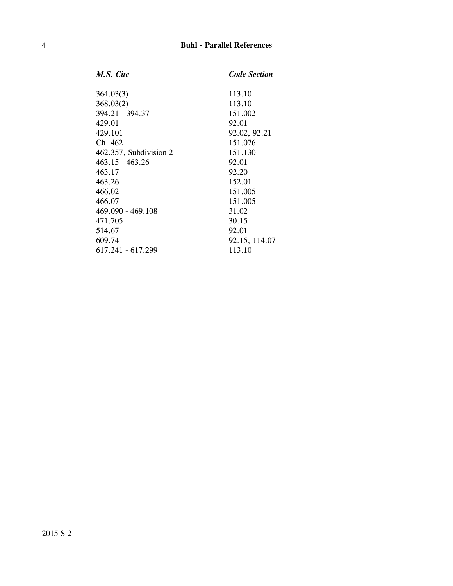| M.S. Cite              | <b>Code Section</b> |
|------------------------|---------------------|
| 364.03(3)              | 113.10              |
| 368.03(2)              | 113.10              |
| 394.21 - 394.37        | 151.002             |
| 429.01                 | 92.01               |
| 429.101                | 92.02, 92.21        |
| Ch. 462                | 151.076             |
| 462.357, Subdivision 2 | 151.130             |
| 463.15 - 463.26        | 92.01               |
| 463.17                 | 92.20               |
| 463.26                 | 152.01              |
| 466.02                 | 151.005             |
| 466.07                 | 151.005             |
| 469.090 - 469.108      | 31.02               |
| 471.705                | 30.15               |
| 514.67                 | 92.01               |
| 609.74                 | 92.15, 114.07       |
| 617.241 - 617.299      | 113.10              |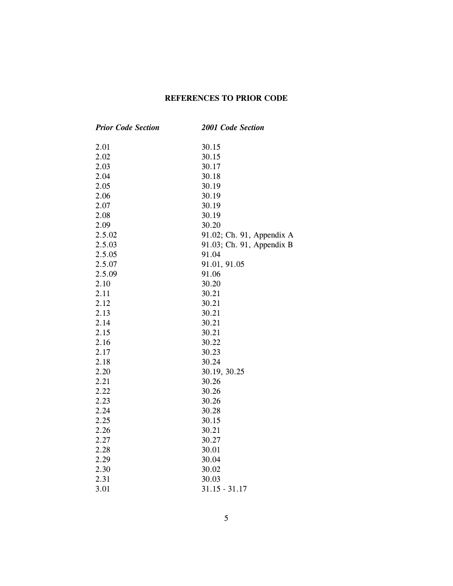### **REFERENCES TO PRIOR CODE**

| <b>Prior Code Section</b> | <b>2001 Code Section</b>  |
|---------------------------|---------------------------|
| 2.01                      | 30.15                     |
| 2.02                      | 30.15                     |
| 2.03                      | 30.17                     |
| 2.04                      | 30.18                     |
| 2.05                      | 30.19                     |
| 2.06                      | 30.19                     |
| 2.07                      | 30.19                     |
| 2.08                      | 30.19                     |
| 2.09                      | 30.20                     |
| 2.5.02                    | 91.02; Ch. 91, Appendix A |
| 2.5.03                    | 91.03; Ch. 91, Appendix B |
| 2.5.05                    | 91.04                     |
| 2.5.07                    | 91.01, 91.05              |
| 2.5.09                    | 91.06                     |
| 2.10                      | 30.20                     |
| 2.11                      | 30.21                     |
| 2.12                      | 30.21                     |
| 2.13                      | 30.21                     |
| 2.14                      | 30.21                     |
| 2.15                      | 30.21                     |
| 2.16                      | 30.22                     |
| 2.17                      | 30.23                     |
| 2.18                      | 30.24                     |
| 2.20                      | 30.19, 30.25              |
| 2.21                      | 30.26                     |
| 2.22                      | 30.26                     |
| 2.23                      | 30.26                     |
| 2.24                      | 30.28                     |
| 2.25                      | 30.15                     |
| 2.26                      | 30.21                     |
| 2.27                      | 30.27                     |
| 2.28                      | 30.01                     |
| 2.29                      | 30.04                     |
| 2.30                      | 30.02                     |
| 2.31                      | 30.03                     |
| 3.01                      | $31.15 - 31.17$           |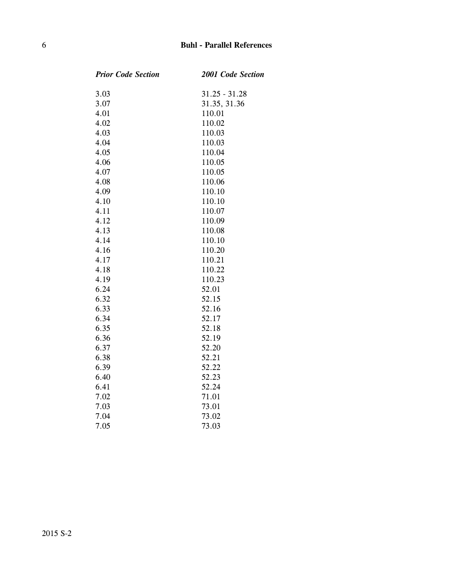#### 6 **Buhl - Parallel References**

| 2001 Code Section |
|-------------------|
| $31.25 - 31.28$   |
| 31.35, 31.36      |
| 110.01            |
| 110.02            |
| 110.03            |
| 110.03            |
| 110.04            |
| 110.05            |
| 110.05            |
| 110.06            |
| 110.10            |
| 110.10            |
| 110.07            |
| 110.09            |
| 110.08            |
| 110.10            |
| 110.20            |
| 110.21            |
| 110.22            |
| 110.23            |
| 52.01             |
| 52.15             |
| 52.16             |
| 52.17             |
| 52.18             |
| 52.19             |
| 52.20             |
| 52.21             |
| 52.22             |
| 52.23             |
| 52.24             |
| 71.01             |
| 73.01             |
| 73.02             |
| 73.03             |
|                   |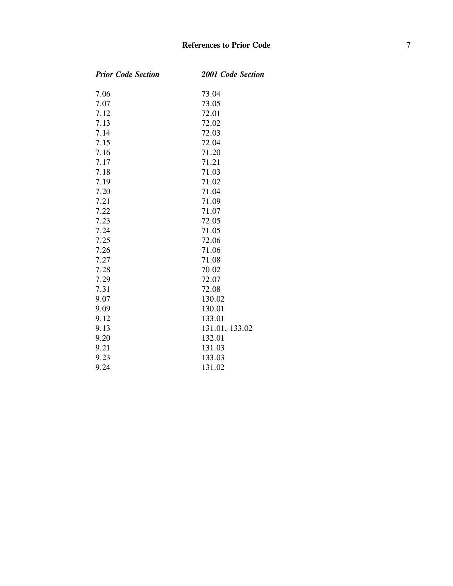| <b>Prior Code Section</b> | 2001 Code Section |
|---------------------------|-------------------|
| 7.06                      | 73.04             |
| 7.07                      | 73.05             |
| 7.12                      | 72.01             |
| 7.13                      | 72.02             |
| 7.14                      | 72.03             |
| 7.15                      | 72.04             |
| 7.16                      | 71.20             |
| 7.17                      | 71.21             |
| 7.18                      | 71.03             |
| 7.19                      | 71.02             |
| 7.20                      | 71.04             |
| 7.21                      | 71.09             |
| 7.22                      | 71.07             |
| 7.23                      | 72.05             |
| 7.24                      | 71.05             |
| 7.25                      | 72.06             |
| 7.26                      | 71.06             |
| 7.27                      | 71.08             |
| 7.28                      | 70.02             |
| 7.29                      | 72.07             |
| 7.31                      | 72.08             |
| 9.07                      | 130.02            |
| 9.09                      | 130.01            |
| 9.12                      | 133.01            |
| 9.13                      | 131.01, 133.02    |
| 9.20                      | 132.01            |
| 9.21                      | 131.03            |
| 9.23                      | 133.03            |
| 9.24                      | 131.02            |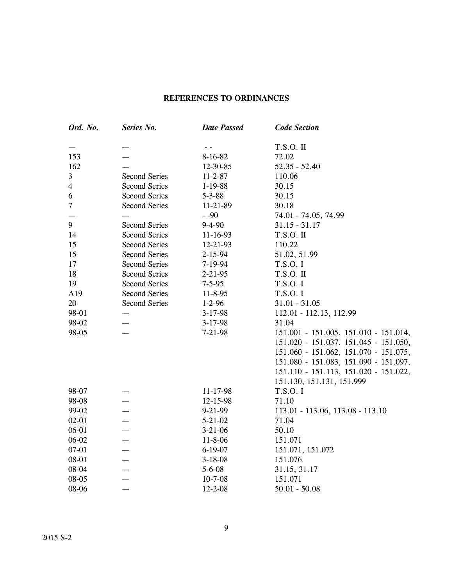## **REFERENCES TO ORDINANCES**

| Ord. No.       | Series No.           | <b>Date Passed</b> | <b>Code Section</b>                   |
|----------------|----------------------|--------------------|---------------------------------------|
|                |                      | $ -$               | <b>T.S.O. II</b>                      |
| 153            |                      | $8-16-82$          | 72.02                                 |
| 162            |                      | 12-30-85           | $52.35 - 52.40$                       |
| 3              | <b>Second Series</b> | $11 - 2 - 87$      | 110.06                                |
| $\overline{4}$ | <b>Second Series</b> | $1-19-88$          | 30.15                                 |
| 6              | <b>Second Series</b> | $5 - 3 - 88$       | 30.15                                 |
| $\overline{7}$ | <b>Second Series</b> | 11-21-89           | 30.18                                 |
|                |                      | $-90$              | 74.01 - 74.05, 74.99                  |
| 9              | <b>Second Series</b> | $9 - 4 - 90$       | $31.15 - 31.17$                       |
| 14             | <b>Second Series</b> | 11-16-93           | T.S.O. II                             |
| 15             | <b>Second Series</b> | 12-21-93           | 110.22                                |
| 15             | <b>Second Series</b> | $2 - 15 - 94$      | 51.02, 51.99                          |
| 17             | <b>Second Series</b> | 7-19-94            | T.S.O. I                              |
| 18             | <b>Second Series</b> | $2 - 21 - 95$      | T.S.O. II                             |
| 19             | <b>Second Series</b> | $7 - 5 - 95$       | T.S.O. I                              |
| A19            | <b>Second Series</b> | $11 - 8 - 95$      | T.S.O. I                              |
| 20             | <b>Second Series</b> | $1-2-96$           | $31.01 - 31.05$                       |
| 98-01          |                      | $3-17-98$          | 112.01 - 112.13, 112.99               |
| 98-02          |                      | $3-17-98$          | 31.04                                 |
| 98-05          |                      | $7 - 21 - 98$      | 151.001 - 151.005, 151.010 - 151.014, |
|                |                      |                    | 151.020 - 151.037, 151.045 - 151.050, |
|                |                      |                    | 151.060 - 151.062, 151.070 - 151.075, |
|                |                      |                    | 151.080 - 151.083, 151.090 - 151.097, |
|                |                      |                    | 151.110 - 151.113, 151.020 - 151.022, |
|                |                      |                    | 151.130, 151.131, 151.999             |
| 98-07          |                      | 11-17-98           | T.S.O. I                              |
| 98-08          |                      | 12-15-98           | 71.10                                 |
| 99-02          |                      | $9 - 21 - 99$      | $113.01 - 113.06$ , $113.08 - 113.10$ |
| $02 - 01$      |                      | $5 - 21 - 02$      | 71.04                                 |
| 06-01          |                      | $3 - 21 - 06$      | 50.10                                 |
| $06 - 02$      |                      | $11 - 8 - 06$      | 151.071                               |
| $07 - 01$      |                      | $6 - 19 - 07$      | 151.071, 151.072                      |
| 08-01          |                      | $3 - 18 - 08$      | 151.076                               |
| $08 - 04$      |                      | $5 - 6 - 08$       | 31.15, 31.17                          |
| 08-05          |                      | $10 - 7 - 08$      | 151.071                               |
| 08-06          |                      | $12 - 2 - 08$      | $50.01 - 50.08$                       |